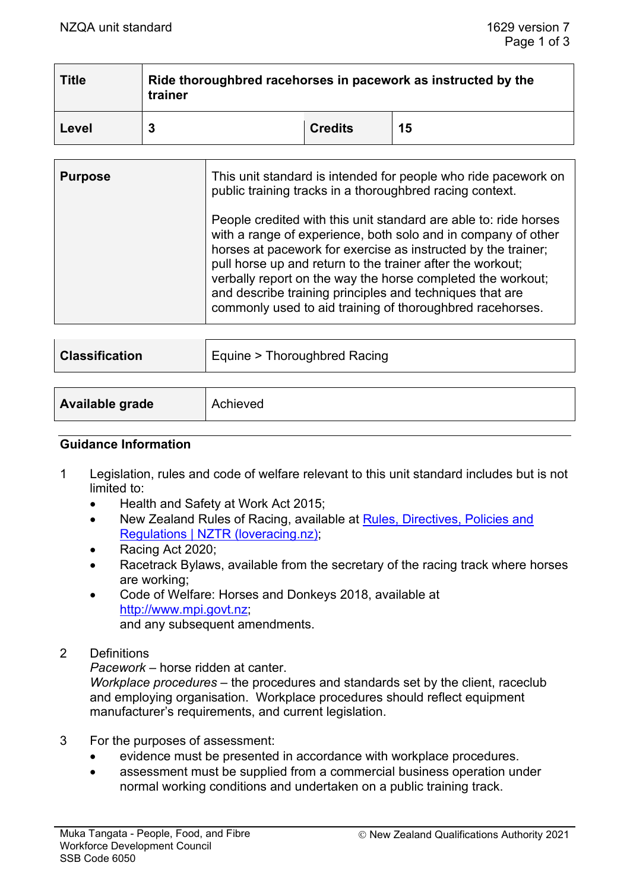| <b>Title</b> | Ride thoroughbred racehorses in pacework as instructed by the<br>trainer |                |    |
|--------------|--------------------------------------------------------------------------|----------------|----|
| Level        |                                                                          | <b>Credits</b> | 15 |

| <b>Purpose</b> | This unit standard is intended for people who ride pacework on<br>public training tracks in a thoroughbred racing context.                                                                                                                                                                                                                                                                                                                               |
|----------------|----------------------------------------------------------------------------------------------------------------------------------------------------------------------------------------------------------------------------------------------------------------------------------------------------------------------------------------------------------------------------------------------------------------------------------------------------------|
|                | People credited with this unit standard are able to: ride horses<br>with a range of experience, both solo and in company of other<br>horses at pacework for exercise as instructed by the trainer;<br>pull horse up and return to the trainer after the workout;<br>verbally report on the way the horse completed the workout;<br>and describe training principles and techniques that are<br>commonly used to aid training of thoroughbred racehorses. |

| <b>Classification</b> | Equine > Thoroughbred Racing |
|-----------------------|------------------------------|
|                       |                              |

| Available grade<br>Achieved |
|-----------------------------|
|-----------------------------|

#### **Guidance Information**

- 1 Legislation, rules and code of welfare relevant to this unit standard includes but is not limited to:
	- Health and Safety at Work Act 2015;
	- New Zealand Rules of Racing, available at Rules, Directives, Policies and [Regulations | NZTR \(loveracing.nz\);](https://loveracing.nz/NZTR/Resources/Rules-Directives-and-Policies.aspx)
	- Racing Act 2020;
	- Racetrack Bylaws, available from the secretary of the racing track where horses are working;
	- Code of Welfare: Horses and Donkeys 2018, available at [http://www.mpi.govt.nz;](http://www.mpi.govt.nz/) and any subsequent amendments.
- 2 Definitions

*Pacework* – horse ridden at canter.

*Workplace procedures* – the procedures and standards set by the client, raceclub and employing organisation. Workplace procedures should reflect equipment manufacturer's requirements, and current legislation.

- 3 For the purposes of assessment:
	- evidence must be presented in accordance with workplace procedures.
	- assessment must be supplied from a commercial business operation under normal working conditions and undertaken on a public training track.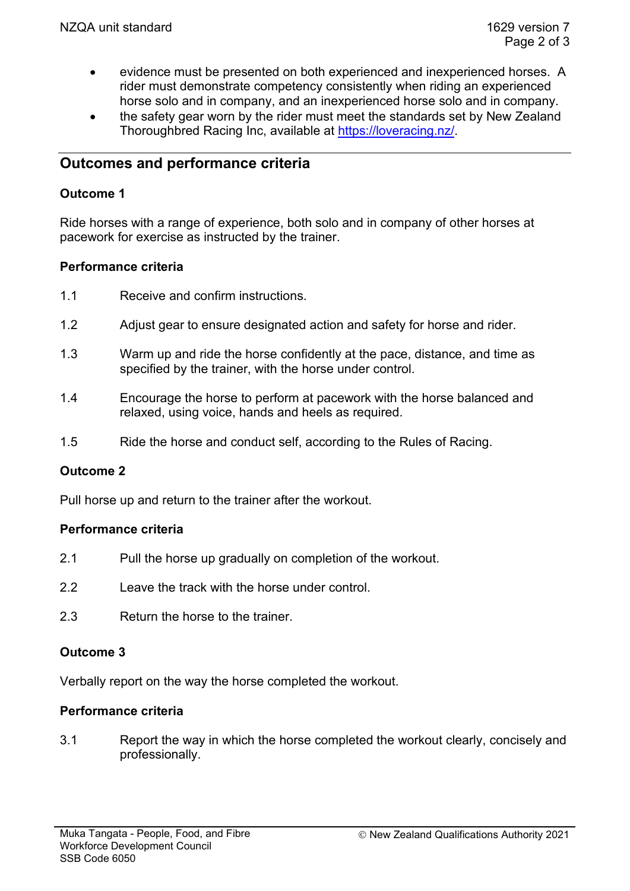- evidence must be presented on both experienced and inexperienced horses. A rider must demonstrate competency consistently when riding an experienced horse solo and in company, and an inexperienced horse solo and in company.
- the safety gear worn by the rider must meet the standards set by New Zealand Thoroughbred Racing Inc, available at [https://loveracing.nz/.](https://loveracing.nz/)

# **Outcomes and performance criteria**

## **Outcome 1**

Ride horses with a range of experience, both solo and in company of other horses at pacework for exercise as instructed by the trainer.

## **Performance criteria**

- 1.1 Receive and confirm instructions.
- 1.2 Adjust gear to ensure designated action and safety for horse and rider.
- 1.3 Warm up and ride the horse confidently at the pace, distance, and time as specified by the trainer, with the horse under control.
- 1.4 Encourage the horse to perform at pacework with the horse balanced and relaxed, using voice, hands and heels as required.
- 1.5 Ride the horse and conduct self, according to the Rules of Racing.

# **Outcome 2**

Pull horse up and return to the trainer after the workout.

#### **Performance criteria**

- 2.1 Pull the horse up gradually on completion of the workout.
- 2.2 Leave the track with the horse under control
- 2.3 Return the horse to the trainer.

#### **Outcome 3**

Verbally report on the way the horse completed the workout.

#### **Performance criteria**

3.1 Report the way in which the horse completed the workout clearly, concisely and professionally.